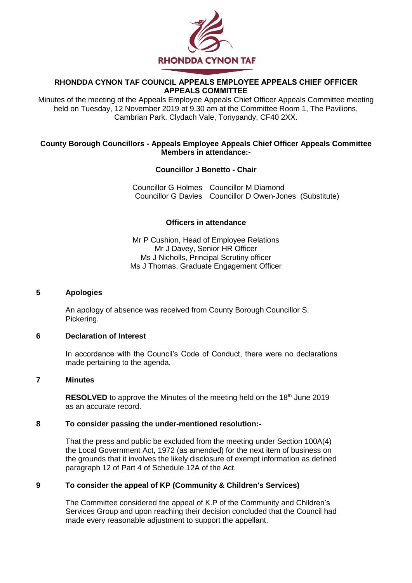

## **RHONDDA CYNON TAF COUNCIL APPEALS EMPLOYEE APPEALS CHIEF OFFICER APPEALS COMMITTEE**

Minutes of the meeting of the Appeals Employee Appeals Chief Officer Appeals Committee meeting held on Tuesday, 12 November 2019 at 9.30 am at the Committee Room 1, The Pavilions, Cambrian Park. Clydach Vale, Tonypandy, CF40 2XX.

### **County Borough Councillors - Appeals Employee Appeals Chief Officer Appeals Committee Members in attendance:-**

## **Councillor J Bonetto - Chair**

Councillor G Holmes Councillor M Diamond Councillor G Davies Councillor D Owen-Jones (Substitute)

# **Officers in attendance**

Mr P Cushion, Head of Employee Relations Mr J Davey, Senior HR Officer Ms J Nicholls, Principal Scrutiny officer Ms J Thomas, Graduate Engagement Officer

## **5 Apologies**

An apology of absence was received from County Borough Councillor S. Pickering.

#### **6 Declaration of Interest**

In accordance with the Council's Code of Conduct, there were no declarations made pertaining to the agenda.

### **7 Minutes**

**RESOLVED** to approve the Minutes of the meeting held on the 18<sup>th</sup> June 2019 as an accurate record.

#### **8 To consider passing the under-mentioned resolution:-**

That the press and public be excluded from the meeting under Section 100A(4) the Local Government Act, 1972 (as amended) for the next item of business on the grounds that it involves the likely disclosure of exempt information as defined paragraph 12 of Part 4 of Schedule 12A of the Act.

# **9 To consider the appeal of KP (Community & Children's Services)**

The Committee considered the appeal of K.P of the Community and Children's Services Group and upon reaching their decision concluded that the Council had made every reasonable adjustment to support the appellant.